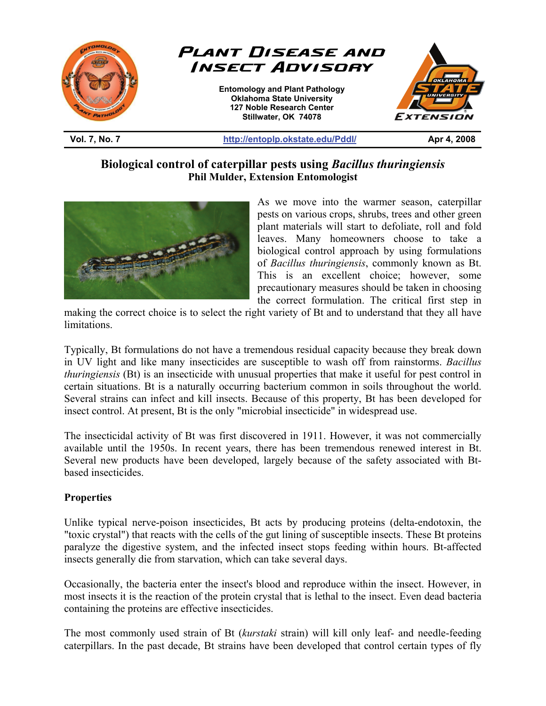

**Vol. 7, No. 7 http://entoplp.okstate.edu/Pddl/ Apr 4, 2008** 

# **Biological control of caterpillar pests using** *Bacillus thuringiensis* **Phil Mulder, Extension Entomologist**



As we move into the warmer season, caterpillar pests on various crops, shrubs, trees and other green plant materials will start to defoliate, roll and fold leaves. Many homeowners choose to take a biological control approach by using formulations of *Bacillus thuringiensis*, commonly known as Bt. This is an excellent choice; however, some precautionary measures should be taken in choosing the correct formulation. The critical first step in

making the correct choice is to select the right variety of Bt and to understand that they all have limitations.

Typically, Bt formulations do not have a tremendous residual capacity because they break down in UV light and like many insecticides are susceptible to wash off from rainstorms. *Bacillus thuringiensis* (Bt) is an insecticide with unusual properties that make it useful for pest control in certain situations. Bt is a naturally occurring bacterium common in soils throughout the world. Several strains can infect and kill insects. Because of this property, Bt has been developed for insect control. At present, Bt is the only "microbial insecticide" in widespread use.

The insecticidal activity of Bt was first discovered in 1911. However, it was not commercially available until the 1950s. In recent years, there has been tremendous renewed interest in Bt. Several new products have been developed, largely because of the safety associated with Btbased insecticides.

## **Properties**

Unlike typical nerve-poison insecticides, Bt acts by producing proteins (delta-endotoxin, the "toxic crystal") that reacts with the cells of the gut lining of susceptible insects. These Bt proteins paralyze the digestive system, and the infected insect stops feeding within hours. Bt-affected insects generally die from starvation, which can take several days.

Occasionally, the bacteria enter the insect's blood and reproduce within the insect. However, in most insects it is the reaction of the protein crystal that is lethal to the insect. Even dead bacteria containing the proteins are effective insecticides.

The most commonly used strain of Bt (*kurstaki* strain) will kill only leaf- and needle-feeding caterpillars. In the past decade, Bt strains have been developed that control certain types of fly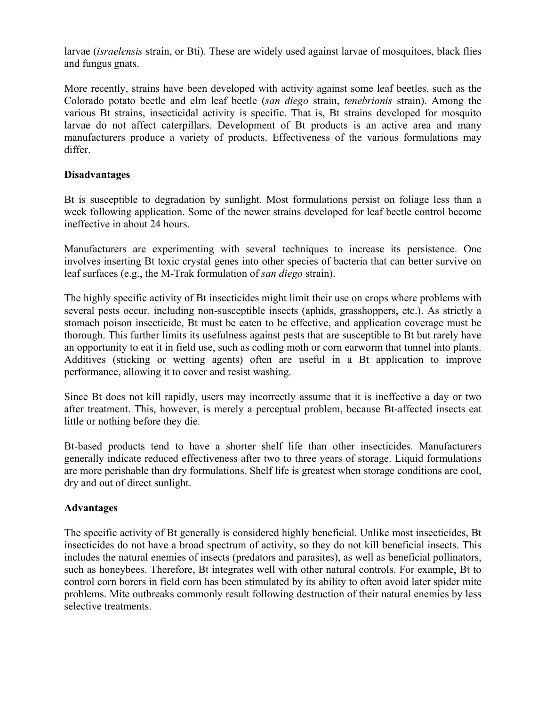larvae (*israelensis* strain, or Bti). These are widely used against larvae of mosquitoes, black flies and fungus gnats.

More recently, strains have been developed with activity against some leaf beetles, such as the Colorado potato beetle and elm leaf beetle (*san diego* strain, *tenebrionis* strain). Among the various Bt strains, insecticidal activity is specific. That is, Bt strains developed for mosquito larvae do not affect caterpillars. Development of Bt products is an active area and many manufacturers produce a variety of products. Effectiveness of the various formulations may differ.

#### **Disadvantages**

Bt is susceptible to degradation by sunlight. Most formulations persist on foliage less than a week following application. Some of the newer strains developed for leaf beetle control become ineffective in about 24 hours.

Manufacturers are experimenting with several techniques to increase its persistence. One involves inserting Bt toxic crystal genes into other species of bacteria that can better survive on leaf surfaces (e.g., the M-Trak formulation of *san diego* strain).

The highly specific activity of Bt insecticides might limit their use on crops where problems with several pests occur, including non-susceptible insects (aphids, grasshoppers, etc.). As strictly a stomach poison insecticide, Bt must be eaten to be effective, and application coverage must be thorough. This further limits its usefulness against pests that are susceptible to Bt but rarely have an opportunity to eat it in field use, such as codling moth or corn earworm that tunnel into plants. Additives (sticking or wetting agents) often are useful in a Bt application to improve performance, allowing it to cover and resist washing.

Since Bt does not kill rapidly, users may incorrectly assume that it is ineffective a day or two after treatment. This, however, is merely a perceptual problem, because Bt-affected insects eat little or nothing before they die.

Bt-based products tend to have a shorter shelf life than other insecticides. Manufacturers generally indicate reduced effectiveness after two to three years of storage. Liquid formulations are more perishable than dry formulations. Shelf life is greatest when storage conditions are cool, dry and out of direct sunlight.

## **Advantages**

The specific activity of Bt generally is considered highly beneficial. Unlike most insecticides, Bt insecticides do not have a broad spectrum of activity, so they do not kill beneficial insects. This includes the natural enemies of insects (predators and parasites), as well as beneficial pollinators, such as honeybees. Therefore, Bt integrates well with other natural controls. For example, Bt to control corn borers in field corn has been stimulated by its ability to often avoid later spider mite problems. Mite outbreaks commonly result following destruction of their natural enemies by less selective treatments.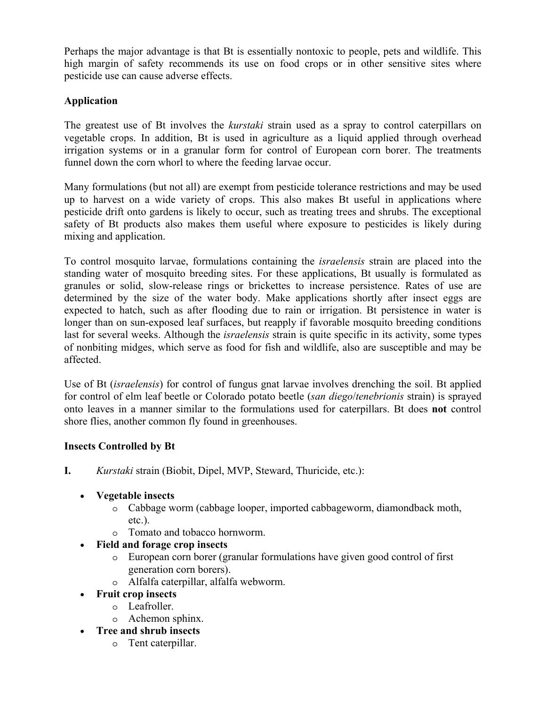Perhaps the major advantage is that Bt is essentially nontoxic to people, pets and wildlife. This high margin of safety recommends its use on food crops or in other sensitive sites where pesticide use can cause adverse effects.

# **Application**

The greatest use of Bt involves the *kurstaki* strain used as a spray to control caterpillars on vegetable crops. In addition, Bt is used in agriculture as a liquid applied through overhead irrigation systems or in a granular form for control of European corn borer. The treatments funnel down the corn whorl to where the feeding larvae occur.

Many formulations (but not all) are exempt from pesticide tolerance restrictions and may be used up to harvest on a wide variety of crops. This also makes Bt useful in applications where pesticide drift onto gardens is likely to occur, such as treating trees and shrubs. The exceptional safety of Bt products also makes them useful where exposure to pesticides is likely during mixing and application.

To control mosquito larvae, formulations containing the *israelensis* strain are placed into the standing water of mosquito breeding sites. For these applications, Bt usually is formulated as granules or solid, slow-release rings or brickettes to increase persistence. Rates of use are determined by the size of the water body. Make applications shortly after insect eggs are expected to hatch, such as after flooding due to rain or irrigation. Bt persistence in water is longer than on sun-exposed leaf surfaces, but reapply if favorable mosquito breeding conditions last for several weeks. Although the *israelensis* strain is quite specific in its activity, some types of nonbiting midges, which serve as food for fish and wildlife, also are susceptible and may be affected.

Use of Bt (*israelensis*) for control of fungus gnat larvae involves drenching the soil. Bt applied for control of elm leaf beetle or Colorado potato beetle (*san diego*/*tenebrionis* strain) is sprayed onto leaves in a manner similar to the formulations used for caterpillars. Bt does **not** control shore flies, another common fly found in greenhouses.

## **Insects Controlled by Bt**

- **I.** *Kurstaki* strain (Biobit, Dipel, MVP, Steward, Thuricide, etc.):
	- **Vegetable insects**
		- o Cabbage worm (cabbage looper, imported cabbageworm, diamondback moth, etc.).
		- o Tomato and tobacco hornworm.
	- **Field and forage crop insects**
		- o European corn borer (granular formulations have given good control of first generation corn borers).
		- o Alfalfa caterpillar, alfalfa webworm.
	- **Fruit crop insects**
		- o Leafroller.
		- o Achemon sphinx.
	- **Tree and shrub insects**
		- o Tent caterpillar.